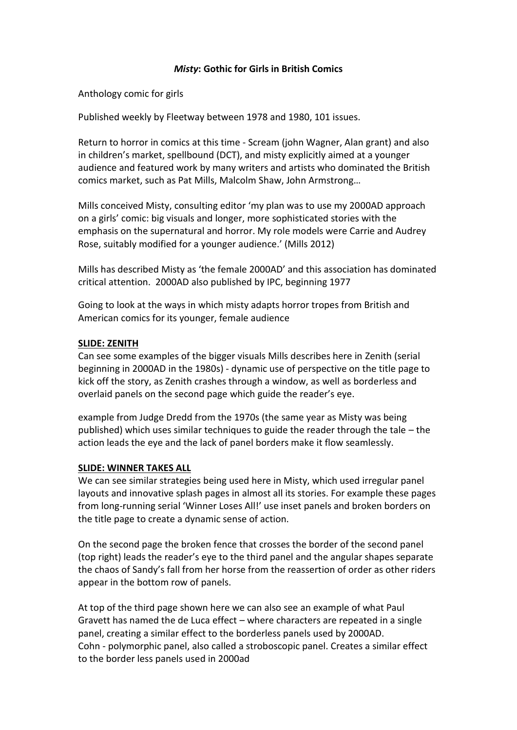### *Misty***: Gothic for Girls in British Comics**

Anthology comic for girls

Published weekly by Fleetway between 1978 and 1980, 101 issues.

Return to horror in comics at this time - Scream (john Wagner, Alan grant) and also in children's market, spellbound (DCT), and misty explicitly aimed at a younger audience and featured work by many writers and artists who dominated the British comics market, such as Pat Mills, Malcolm Shaw, John Armstrong…

Mills conceived Misty, consulting editor 'my plan was to use my 2000AD approach on a girls' comic: big visuals and longer, more sophisticated stories with the emphasis on the supernatural and horror. My role models were Carrie and Audrey Rose, suitably modified for a younger audience.' (Mills 2012)

Mills has described Misty as 'the female 2000AD' and this association has dominated critical attention. 2000AD also published by IPC, beginning 1977

Going to look at the ways in which misty adapts horror tropes from British and American comics for its younger, female audience

### **SLIDE: ZENITH**

Can see some examples of the bigger visuals Mills describes here in Zenith (serial beginning in 2000AD in the 1980s) - dynamic use of perspective on the title page to kick off the story, as Zenith crashes through a window, as well as borderless and overlaid panels on the second page which guide the reader's eye.

example from Judge Dredd from the 1970s (the same year as Misty was being published) which uses similar techniques to guide the reader through the tale – the action leads the eye and the lack of panel borders make it flow seamlessly.

### **SLIDE: WINNER TAKES ALL**

We can see similar strategies being used here in Misty, which used irregular panel layouts and innovative splash pages in almost all its stories. For example these pages from long-running serial 'Winner Loses All!' use inset panels and broken borders on the title page to create a dynamic sense of action.

On the second page the broken fence that crosses the border of the second panel (top right) leads the reader's eye to the third panel and the angular shapes separate the chaos of Sandy's fall from her horse from the reassertion of order as other riders appear in the bottom row of panels.

At top of the third page shown here we can also see an example of what Paul Gravett has named the de Luca effect – where characters are repeated in a single panel, creating a similar effect to the borderless panels used by 2000AD. Cohn - polymorphic panel, also called a stroboscopic panel. Creates a similar effect to the border less panels used in 2000ad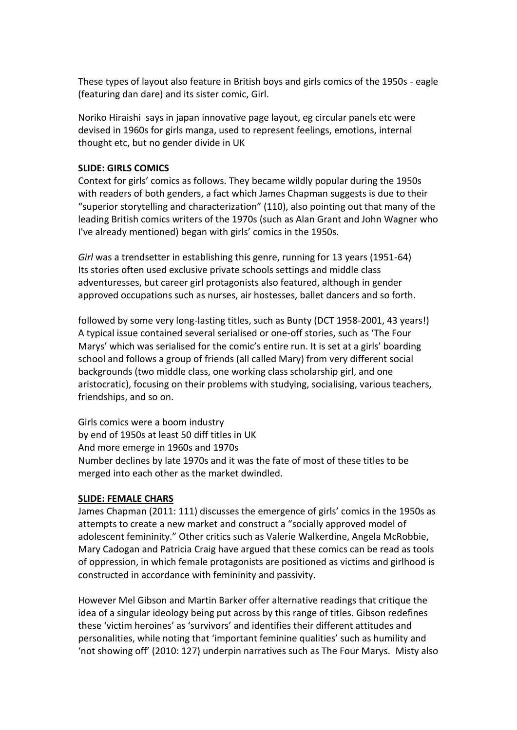These types of layout also feature in British boys and girls comics of the 1950s - eagle (featuring dan dare) and its sister comic, Girl.

Noriko Hiraishi says in japan innovative page layout, eg circular panels etc were devised in 1960s for girls manga, used to represent feelings, emotions, internal thought etc, but no gender divide in UK

### **SLIDE: GIRLS COMICS**

Context for girls' comics as follows. They became wildly popular during the 1950s with readers of both genders, a fact which James Chapman suggests is due to their "superior storytelling and characterization" (110), also pointing out that many of the leading British comics writers of the 1970s (such as Alan Grant and John Wagner who I've already mentioned) began with girls' comics in the 1950s.

*Girl* was a trendsetter in establishing this genre, running for 13 years (1951-64) Its stories often used exclusive private schools settings and middle class adventuresses, but career girl protagonists also featured, although in gender approved occupations such as nurses, air hostesses, ballet dancers and so forth.

followed by some very long-lasting titles, such as Bunty (DCT 1958-2001, 43 years!) A typical issue contained several serialised or one-off stories, such as 'The Four Marys' which was serialised for the comic's entire run. It is set at a girls' boarding school and follows a group of friends (all called Mary) from very different social backgrounds (two middle class, one working class scholarship girl, and one aristocratic), focusing on their problems with studying, socialising, various teachers, friendships, and so on.

Girls comics were a boom industry by end of 1950s at least 50 diff titles in UK And more emerge in 1960s and 1970s Number declines by late 1970s and it was the fate of most of these titles to be merged into each other as the market dwindled.

# **SLIDE: FEMALE CHARS**

James Chapman (2011: 111) discusses the emergence of girls' comics in the 1950s as attempts to create a new market and construct a "socially approved model of adolescent femininity." Other critics such as Valerie Walkerdine, Angela McRobbie, Mary Cadogan and Patricia Craig have argued that these comics can be read as tools of oppression, in which female protagonists are positioned as victims and girlhood is constructed in accordance with femininity and passivity.

However Mel Gibson and Martin Barker offer alternative readings that critique the idea of a singular ideology being put across by this range of titles. Gibson redefines these 'victim heroines' as 'survivors' and identifies their different attitudes and personalities, while noting that 'important feminine qualities' such as humility and 'not showing off' (2010: 127) underpin narratives such as The Four Marys. Misty also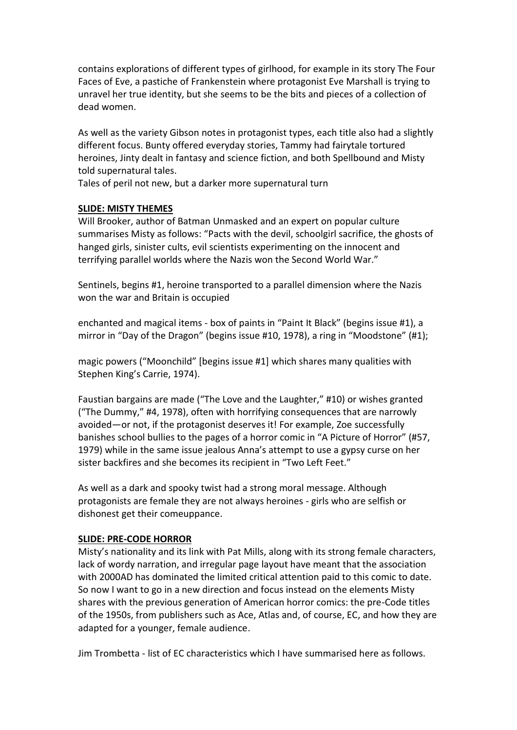contains explorations of different types of girlhood, for example in its story The Four Faces of Eve, a pastiche of Frankenstein where protagonist Eve Marshall is trying to unravel her true identity, but she seems to be the bits and pieces of a collection of dead women.

As well as the variety Gibson notes in protagonist types, each title also had a slightly different focus. Bunty offered everyday stories, Tammy had fairytale tortured heroines, Jinty dealt in fantasy and science fiction, and both Spellbound and Misty told supernatural tales.

Tales of peril not new, but a darker more supernatural turn

### **SLIDE: MISTY THEMES**

Will Brooker, author of Batman Unmasked and an expert on popular culture summarises Misty as follows: "Pacts with the devil, schoolgirl sacrifice, the ghosts of hanged girls, sinister cults, evil scientists experimenting on the innocent and terrifying parallel worlds where the Nazis won the Second World War."

Sentinels, begins #1, heroine transported to a parallel dimension where the Nazis won the war and Britain is occupied

enchanted and magical items - box of paints in "Paint It Black" (begins issue #1), a mirror in "Day of the Dragon" (begins issue #10, 1978), a ring in "Moodstone" (#1);

magic powers ("Moonchild" [begins issue #1] which shares many qualities with Stephen King's Carrie, 1974).

Faustian bargains are made ("The Love and the Laughter," #10) or wishes granted ("The Dummy," #4, 1978), often with horrifying consequences that are narrowly avoided—or not, if the protagonist deserves it! For example, Zoe successfully banishes school bullies to the pages of a horror comic in "A Picture of Horror" (#57, 1979) while in the same issue jealous Anna's attempt to use a gypsy curse on her sister backfires and she becomes its recipient in "Two Left Feet."

As well as a dark and spooky twist had a strong moral message. Although protagonists are female they are not always heroines - girls who are selfish or dishonest get their comeuppance.

### **SLIDE: PRE-CODE HORROR**

Misty's nationality and its link with Pat Mills, along with its strong female characters, lack of wordy narration, and irregular page layout have meant that the association with 2000AD has dominated the limited critical attention paid to this comic to date. So now I want to go in a new direction and focus instead on the elements Misty shares with the previous generation of American horror comics: the pre-Code titles of the 1950s, from publishers such as Ace, Atlas and, of course, EC, and how they are adapted for a younger, female audience.

Jim Trombetta - list of EC characteristics which I have summarised here as follows.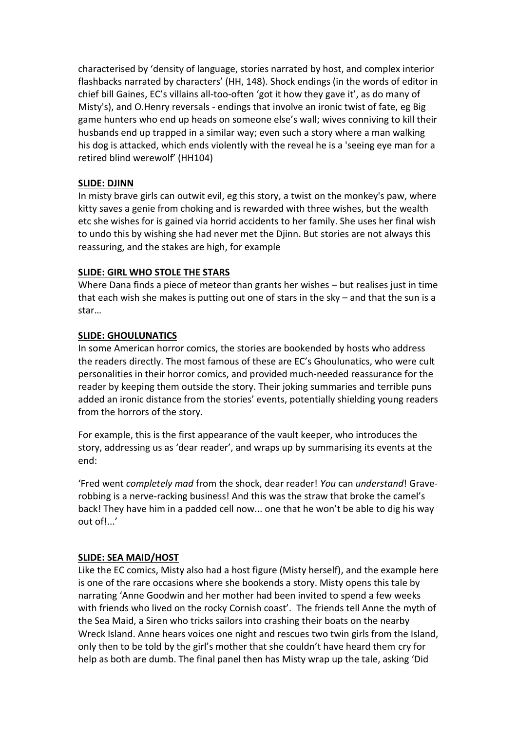characterised by 'density of language, stories narrated by host, and complex interior flashbacks narrated by characters' (HH, 148). Shock endings (in the words of editor in chief bill Gaines, EC's villains all-too-often 'got it how they gave it', as do many of Misty's), and O.Henry reversals - endings that involve an ironic twist of fate, eg Big game hunters who end up heads on someone else's wall; wives conniving to kill their husbands end up trapped in a similar way; even such a story where a man walking his dog is attacked, which ends violently with the reveal he is a 'seeing eye man for a retired blind werewolf' (HH104)

# **SLIDE: DJINN**

In misty brave girls can outwit evil, eg this story, a twist on the monkey's paw, where kitty saves a genie from choking and is rewarded with three wishes, but the wealth etc she wishes for is gained via horrid accidents to her family. She uses her final wish to undo this by wishing she had never met the Djinn. But stories are not always this reassuring, and the stakes are high, for example

### **SLIDE: GIRL WHO STOLE THE STARS**

Where Dana finds a piece of meteor than grants her wishes – but realises just in time that each wish she makes is putting out one of stars in the sky – and that the sun is a star…

### **SLIDE: GHOULUNATICS**

In some American horror comics, the stories are bookended by hosts who address the readers directly. The most famous of these are EC's Ghoulunatics, who were cult personalities in their horror comics, and provided much-needed reassurance for the reader by keeping them outside the story. Their joking summaries and terrible puns added an ironic distance from the stories' events, potentially shielding young readers from the horrors of the story.

For example, this is the first appearance of the vault keeper, who introduces the story, addressing us as 'dear reader', and wraps up by summarising its events at the end:

'Fred went *completely mad* from the shock, dear reader! *You* can *understand*! Graverobbing is a nerve-racking business! And this was the straw that broke the camel's back! They have him in a padded cell now... one that he won't be able to dig his way out of!...'

### **SLIDE: SEA MAID/HOST**

Like the EC comics, Misty also had a host figure (Misty herself), and the example here is one of the rare occasions where she bookends a story. Misty opens this tale by narrating 'Anne Goodwin and her mother had been invited to spend a few weeks with friends who lived on the rocky Cornish coast'. The friends tell Anne the myth of the Sea Maid, a Siren who tricks sailors into crashing their boats on the nearby Wreck Island. Anne hears voices one night and rescues two twin girls from the Island, only then to be told by the girl's mother that she couldn't have heard them cry for help as both are dumb. The final panel then has Misty wrap up the tale, asking 'Did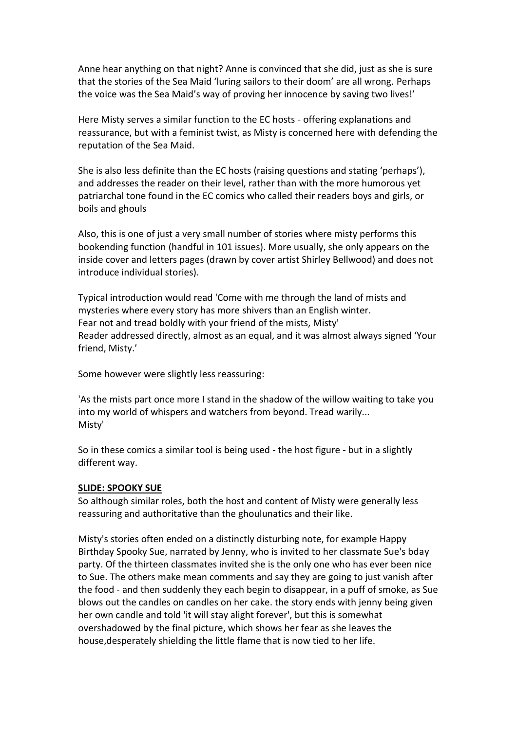Anne hear anything on that night? Anne is convinced that she did, just as she is sure that the stories of the Sea Maid 'luring sailors to their doom' are all wrong. Perhaps the voice was the Sea Maid's way of proving her innocence by saving two lives!'

Here Misty serves a similar function to the EC hosts - offering explanations and reassurance, but with a feminist twist, as Misty is concerned here with defending the reputation of the Sea Maid.

She is also less definite than the EC hosts (raising questions and stating 'perhaps'), and addresses the reader on their level, rather than with the more humorous yet patriarchal tone found in the EC comics who called their readers boys and girls, or boils and ghouls

Also, this is one of just a very small number of stories where misty performs this bookending function (handful in 101 issues). More usually, she only appears on the inside cover and letters pages (drawn by cover artist Shirley Bellwood) and does not introduce individual stories).

Typical introduction would read 'Come with me through the land of mists and mysteries where every story has more shivers than an English winter. Fear not and tread boldly with your friend of the mists, Misty' Reader addressed directly, almost as an equal, and it was almost always signed 'Your friend, Misty.'

Some however were slightly less reassuring:

'As the mists part once more I stand in the shadow of the willow waiting to take you into my world of whispers and watchers from beyond. Tread warily... Misty'

So in these comics a similar tool is being used - the host figure - but in a slightly different way.

### **SLIDE: SPOOKY SUE**

So although similar roles, both the host and content of Misty were generally less reassuring and authoritative than the ghoulunatics and their like.

Misty's stories often ended on a distinctly disturbing note, for example Happy Birthday Spooky Sue, narrated by Jenny, who is invited to her classmate Sue's bday party. Of the thirteen classmates invited she is the only one who has ever been nice to Sue. The others make mean comments and say they are going to just vanish after the food - and then suddenly they each begin to disappear, in a puff of smoke, as Sue blows out the candles on candles on her cake. the story ends with jenny being given her own candle and told 'it will stay alight forever', but this is somewhat overshadowed by the final picture, which shows her fear as she leaves the house,desperately shielding the little flame that is now tied to her life.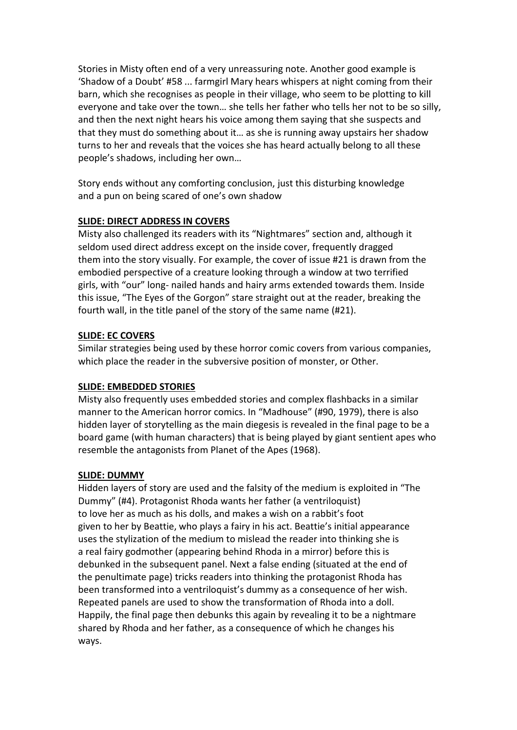Stories in Misty often end of a very unreassuring note. Another good example is 'Shadow of a Doubt' #58 ... farmgirl Mary hears whispers at night coming from their barn, which she recognises as people in their village, who seem to be plotting to kill everyone and take over the town… she tells her father who tells her not to be so silly, and then the next night hears his voice among them saying that she suspects and that they must do something about it… as she is running away upstairs her shadow turns to her and reveals that the voices she has heard actually belong to all these people's shadows, including her own…

Story ends without any comforting conclusion, just this disturbing knowledge and a pun on being scared of one's own shadow

# **SLIDE: DIRECT ADDRESS IN COVERS**

Misty also challenged its readers with its "Nightmares" section and, although it seldom used direct address except on the inside cover, frequently dragged them into the story visually. For example, the cover of issue #21 is drawn from the embodied perspective of a creature looking through a window at two terrified girls, with "our" long- nailed hands and hairy arms extended towards them. Inside this issue, "The Eyes of the Gorgon" stare straight out at the reader, breaking the fourth wall, in the title panel of the story of the same name (#21).

# **SLIDE: EC COVERS**

Similar strategies being used by these horror comic covers from various companies, which place the reader in the subversive position of monster, or Other.

# **SLIDE: EMBEDDED STORIES**

Misty also frequently uses embedded stories and complex flashbacks in a similar manner to the American horror comics. In "Madhouse" (#90, 1979), there is also hidden layer of storytelling as the main diegesis is revealed in the final page to be a board game (with human characters) that is being played by giant sentient apes who resemble the antagonists from Planet of the Apes (1968).

# **SLIDE: DUMMY**

Hidden layers of story are used and the falsity of the medium is exploited in "The Dummy" (#4). Protagonist Rhoda wants her father (a ventriloquist) to love her as much as his dolls, and makes a wish on a rabbit's foot given to her by Beattie, who plays a fairy in his act. Beattie's initial appearance uses the stylization of the medium to mislead the reader into thinking she is a real fairy godmother (appearing behind Rhoda in a mirror) before this is debunked in the subsequent panel. Next a false ending (situated at the end of the penultimate page) tricks readers into thinking the protagonist Rhoda has been transformed into a ventriloquist's dummy as a consequence of her wish. Repeated panels are used to show the transformation of Rhoda into a doll. Happily, the final page then debunks this again by revealing it to be a nightmare shared by Rhoda and her father, as a consequence of which he changes his ways.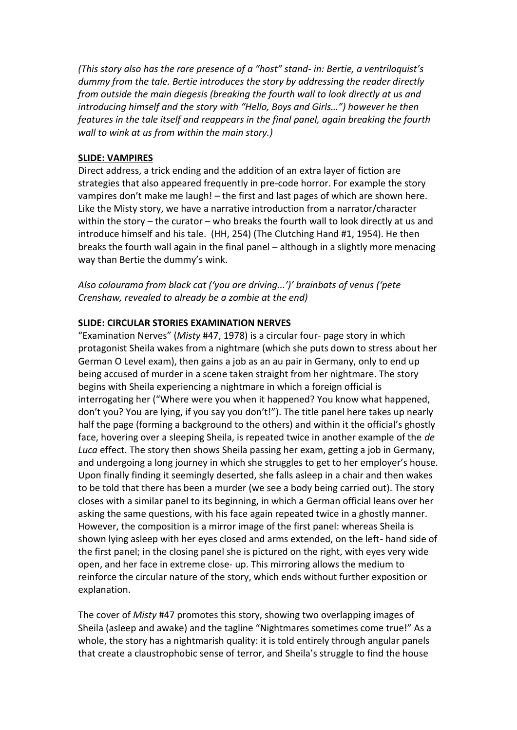*(This story also has the rare presence of a "host" stand- in: Bertie, a ventriloquist's dummy from the tale. Bertie introduces the story by addressing the reader directly from outside the main diegesis (breaking the fourth wall to look directly at us and introducing himself and the story with "Hello, Boys and Girls…") however he then features in the tale itself and reappears in the final panel, again breaking the fourth wall to wink at us from within the main story.)*

#### **SLIDE: VAMPIRES**

Direct address, a trick ending and the addition of an extra layer of fiction are strategies that also appeared frequently in pre-code horror. For example the story vampires don't make me laugh! – the first and last pages of which are shown here. Like the Misty story, we have a narrative introduction from a narrator/character within the story – the curator – who breaks the fourth wall to look directly at us and introduce himself and his tale. (HH, 254) (The Clutching Hand #1, 1954). He then breaks the fourth wall again in the final panel – although in a slightly more menacing way than Bertie the dummy's wink.

*Also colourama from black cat ('you are driving...')' brainbats of venus ('pete Crenshaw, revealed to already be a zombie at the end)*

#### **SLIDE: CIRCULAR STORIES EXAMINATION NERVES**

"Examination Nerves" (*Misty* #47, 1978) is a circular four- page story in which protagonist Sheila wakes from a nightmare (which she puts down to stress about her German O Level exam), then gains a job as an au pair in Germany, only to end up being accused of murder in a scene taken straight from her nightmare. The story begins with Sheila experiencing a nightmare in which a foreign official is interrogating her ("Where were you when it happened? You know what happened, don't you? You are lying, if you say you don't!"). The title panel here takes up nearly half the page (forming a background to the others) and within it the official's ghostly face, hovering over a sleeping Sheila, is repeated twice in another example of the *de Luca* effect. The story then shows Sheila passing her exam, getting a job in Germany, and undergoing a long journey in which she struggles to get to her employer's house. Upon finally finding it seemingly deserted, she falls asleep in a chair and then wakes to be told that there has been a murder (we see a body being carried out). The story closes with a similar panel to its beginning, in which a German official leans over her asking the same questions, with his face again repeated twice in a ghostly manner. However, the composition is a mirror image of the first panel: whereas Sheila is shown lying asleep with her eyes closed and arms extended, on the left- hand side of the first panel; in the closing panel she is pictured on the right, with eyes very wide open, and her face in extreme close- up. This mirroring allows the medium to reinforce the circular nature of the story, which ends without further exposition or explanation.

The cover of *Misty* #47 promotes this story, showing two overlapping images of Sheila (asleep and awake) and the tagline "Nightmares sometimes come true!" As a whole, the story has a nightmarish quality: it is told entirely through angular panels that create a claustrophobic sense of terror, and Sheila's struggle to find the house